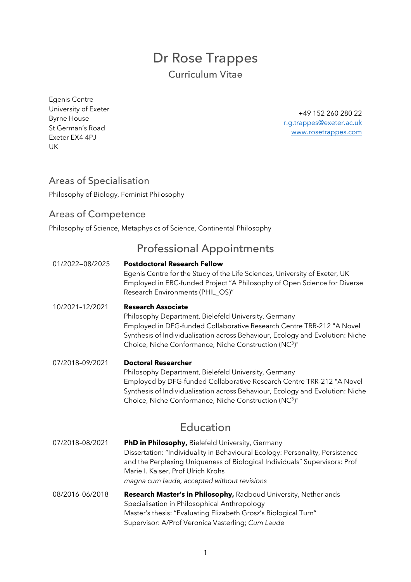# Dr Rose Trappes Curriculum Vitae

Egenis Centre University of Exeter Byrne House St German's Road Exeter EX4 4PJ UK

+49 152 260 280 22 r.g.trappes@exeter.ac.uk www.rosetrappes.com

### Areas of Specialisation

Philosophy of Biology, Feminist Philosophy

### Areas of Competence

Philosophy of Science, Metaphysics of Science, Continental Philosophy

## Professional Appointments

01/2022—08/2025 **Postdoctoral Research Fellow**  Egenis Centre for the Study of the Life Sciences, University of Exeter, UK Employed in ERC-funded Project "A Philosophy of Open Science for Diverse Research Environments (PHIL\_OS)" 10/2021–12/2021 **Research Associate** Philosophy Department, Bielefeld University, Germany Employed in DFG-funded Collaborative Research Centre TRR-212 "A Novel Synthesis of Individualisation across Behaviour, Ecology and Evolution: Niche Choice, Niche Conformance, Niche Construction (NC3)" 07/2018–09/2021 **Doctoral Researcher** Philosophy Department, Bielefeld University, Germany Employed by DFG-funded Collaborative Research Centre TRR-212 "A Novel Synthesis of Individualisation across Behaviour, Ecology and Evolution: Niche Choice, Niche Conformance, Niche Construction (NC3)"

## Education

- 07/2018–08/2021 **PhD in Philosophy,** Bielefeld University, Germany Dissertation: "Individuality in Behavioural Ecology: Personality, Persistence and the Perplexing Uniqueness of Biological Individuals" Supervisors: Prof Marie I. Kaiser, Prof Ulrich Krohs *magna cum laude, accepted without revisions* 08/2016–06/2018 **Research Master's in Philosophy,** Radboud University, Netherlands Specialisation in Philosophical Anthropology
	- Master's thesis: "Evaluating Elizabeth Grosz's Biological Turn" Supervisor: A/Prof Veronica Vasterling; *Cum Laude*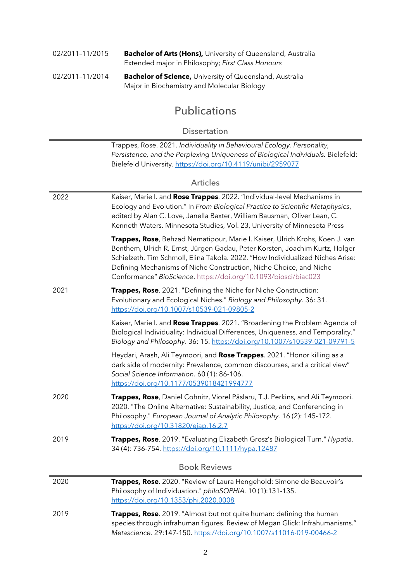| 02/2011-11/2015 | <b>Bachelor of Arts (Hons), University of Queensland, Australia</b> |
|-----------------|---------------------------------------------------------------------|
|                 | Extended major in Philosophy; First Class Honours                   |

| 02/2011-11/2014 | <b>Bachelor of Science, University of Queensland, Australia</b> |
|-----------------|-----------------------------------------------------------------|
|                 | Major in Biochemistry and Molecular Biology                     |

# Publications

#### Dissertation

Trappes, Rose. 2021. *Individuality in Behavioural Ecology. Personality, Persistence, and the Perplexing Uniqueness of Biological Individuals.* Bielefeld: Bielefeld University. https://doi.org/10.4119/unibi/2959077

### Articles

| 2022 | Kaiser, Marie I. and Rose Trappes. 2022. "Individual-level Mechanisms in<br>Ecology and Evolution." In From Biological Practice to Scientific Metaphysics,<br>edited by Alan C. Love, Janella Baxter, William Bausman, Oliver Lean, C.<br>Kenneth Waters. Minnesota Studies, Vol. 23, University of Minnesota Press                                                                     |
|------|-----------------------------------------------------------------------------------------------------------------------------------------------------------------------------------------------------------------------------------------------------------------------------------------------------------------------------------------------------------------------------------------|
|      | Trappes, Rose, Behzad Nematipour, Marie I. Kaiser, Ulrich Krohs, Koen J. van<br>Benthem, Ulrich R. Ernst, Jürgen Gadau, Peter Korsten, Joachim Kurtz, Holger<br>Schielzeth, Tim Schmoll, Elina Takola. 2022. "How Individualized Niches Arise:<br>Defining Mechanisms of Niche Construction, Niche Choice, and Niche<br>Conformance" BioScience. https://doi.org/10.1093/biosci/biac023 |
| 2021 | Trappes, Rose. 2021. "Defining the Niche for Niche Construction:<br>Evolutionary and Ecological Niches." Biology and Philosophy. 36: 31.<br>https://doi.org/10.1007/s10539-021-09805-2                                                                                                                                                                                                  |
|      | Kaiser, Marie I. and Rose Trappes. 2021. "Broadening the Problem Agenda of<br>Biological Individuality: Individual Differences, Uniqueness, and Temporality."<br>Biology and Philosophy. 36: 15. https://doi.org/10.1007/s10539-021-09791-5                                                                                                                                             |
|      | Heydari, Arash, Ali Teymoori, and Rose Trappes. 2021. "Honor killing as a<br>dark side of modernity: Prevalence, common discourses, and a critical view"<br>Social Science Information. 60 (1): 86-106.<br>https://doi.org/10.1177/0539018421994777                                                                                                                                     |
| 2020 | Trappes, Rose, Daniel Cohnitz, Viorel Pâslaru, T.J. Perkins, and Ali Teymoori.<br>2020. "The Online Alternative: Sustainability, Justice, and Conferencing in<br>Philosophy." European Journal of Analytic Philosophy. 16 (2): 145-172.<br>https://doi.org/10.31820/ejap.16.2.7                                                                                                         |
| 2019 | Trappes, Rose. 2019. "Evaluating Elizabeth Grosz's Biological Turn." Hypatia.<br>34 (4): 736-754. https://doi.org/10.1111/hypa.12487                                                                                                                                                                                                                                                    |
|      | <b>Book Reviews</b>                                                                                                                                                                                                                                                                                                                                                                     |
| 2020 | Trappes, Rose. 2020. "Review of Laura Hengehold: Simone de Beauvoir's<br>Philosophy of Individuation." philoSOPHIA. 10(1):131-135.<br>https://doi.org/10.1353/phi.2020.0008                                                                                                                                                                                                             |
| 2019 | Trappes, Rose. 2019. "Almost but not quite human: defining the human<br>species through infrahuman figures. Review of Megan Glick: Infrahumanisms."<br>Metascience. 29:147-150. https://doi.org/10.1007/s11016-019-00466-2                                                                                                                                                              |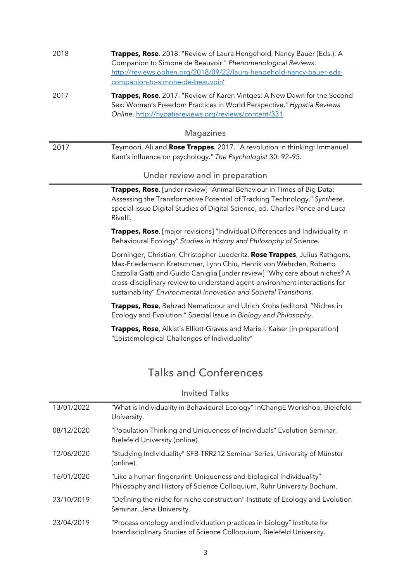| 2018       | Trappes, Rose. 2018. "Review of Laura Hengehold, Nancy Bauer (Eds.): A<br>Companion to Simone de Beauvoir." Phenomenological Reviews.<br>http://reviews.ophen.org/2018/09/22/laura-hengehold-nancy-bauer-eds-<br>companion-to-simone-de-beauvoir/                                                                                                                                  |
|------------|------------------------------------------------------------------------------------------------------------------------------------------------------------------------------------------------------------------------------------------------------------------------------------------------------------------------------------------------------------------------------------|
| 2017       | Trappes, Rose. 2017. "Review of Karen Vintges: A New Dawn for the Second<br>Sex: Women's Freedom Practices in World Perspective." Hypatia Reviews<br>Online. http://hypatiareviews.org/reviews/content/331                                                                                                                                                                         |
|            | <b>Magazines</b>                                                                                                                                                                                                                                                                                                                                                                   |
| 2017       | Teymoori, Ali and Rose Trappes. 2017. "A revolution in thinking: Immanuel<br>Kant's influence on psychology." The Psychologist 30: 92-95.                                                                                                                                                                                                                                          |
|            | Under review and in preparation                                                                                                                                                                                                                                                                                                                                                    |
|            | Trappes, Rose. [under review] "Animal Behaviour in Times of Big Data:<br>Assessing the Transformative Potential of Tracking Technology." Synthese,<br>special issue Digital Studies of Digital Science, ed. Charles Pence and Luca<br>Rivelli.                                                                                                                                     |
|            | Trappes, Rose. [major revisions] "Individual Differences and Individuality in<br>Behavioural Ecology" Studies in History and Philosophy of Science.                                                                                                                                                                                                                                |
|            | Dorninger, Christian, Christopher Luederitz, Rose Trappes, Julius Rathgens,<br>Max-Friedemann Kretschmer, Lynn Chiu, Henrik von Wehrden, Roberto<br>Cazzolla Gatti and Guido Caniglia [under review] "Why care about niches? A<br>cross-disciplinary review to understand agent-environment interactions for<br>sustainability" Environmental Innovation and Societal Transitions. |
|            | Trappes, Rose, Behzad Nematipour and Ulrich Krohs (editors). "Niches in<br>Ecology and Evolution." Special Issue in Biology and Philosophy.                                                                                                                                                                                                                                        |
|            | Trappes, Rose, Alkistis Elliott-Graves and Marie I. Kaiser [in preparation]<br>"Epistemological Challenges of Individuality"                                                                                                                                                                                                                                                       |
|            | <b>Talks and Conferences</b>                                                                                                                                                                                                                                                                                                                                                       |
|            | <b>Invited Talks</b>                                                                                                                                                                                                                                                                                                                                                               |
| 13/01/2022 | "What is Individuality in Behavioural Ecology" InChangE Workshop, Bielefeld<br>University.                                                                                                                                                                                                                                                                                         |
| 08/12/2020 | "Population Thinking and Uniqueness of Individuals" Evolution Seminar,<br>Bielefeld University (online).                                                                                                                                                                                                                                                                           |

| 12/06/2020 | "Studying Individuality" SFB-TRR212 Seminar Series, University of Münster<br>(online). |
|------------|----------------------------------------------------------------------------------------|

| 16/01/2020 | "Like a human fingerprint: Uniqueness and biological individuality"   |
|------------|-----------------------------------------------------------------------|
|            | Philosophy and History of Science Colloquium, Ruhr University Bochum. |

- 23/10/2019 "Defining the niche for niche construction" Institute of Ecology and Evolution Seminar, Jena University.
- 23/04/2019 "Process ontology and individuation practices in biology" Institute for Interdisciplinary Studies of Science Colloquium, Bielefeld University.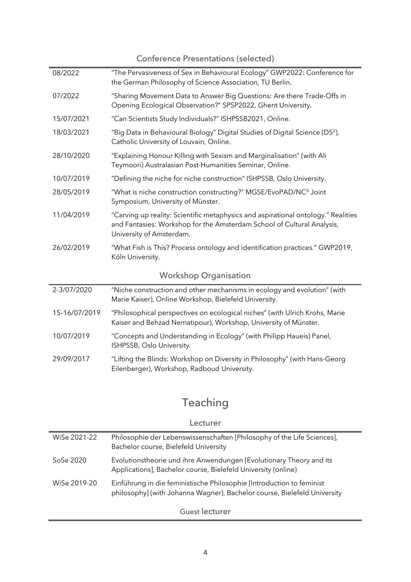Conference Presentations (selected)

| 08/2022                      | "The Pervasiveness of Sex in Behavioural Ecology" GWP2022: Conference for<br>the German Philosophy of Science Association, TU Berlin.                                                   |  |
|------------------------------|-----------------------------------------------------------------------------------------------------------------------------------------------------------------------------------------|--|
| 07/2022                      | "Sharing Movement Data to Answer Big Questions: Are there Trade-Offs in<br>Opening Ecological Observation?" SPSP2022, Ghent University.                                                 |  |
| 15/07/2021                   | "Can Scientists Study Individuals?" ISHPSSB2021, Online.                                                                                                                                |  |
| 18/03/2021                   | "Big Data in Behavioural Biology" Digital Studies of Digital Science (DS <sup>2</sup> ),<br>Catholic University of Louvain, Online.                                                     |  |
| 28/10/2020                   | "Explaining Honour Killing with Sexism and Marginalisation" (with Ali<br>Teymoori) Australasian Post-Humanities Seminar, Online.                                                        |  |
| 10/07/2019                   | "Defining the niche for niche construction" ISHPSSB, Oslo University.                                                                                                                   |  |
| 28/05/2019                   | "What is niche construction constructing?" MGSE/EvoPAD/NC <sup>3</sup> Joint<br>Symposium, University of Münster.                                                                       |  |
| 11/04/2019                   | "Carving up reality: Scientific metaphysics and aspirational ontology." Realities<br>and Fantasies: Workshop for the Amsterdam School of Cultural Analysis,<br>University of Amsterdam. |  |
| 26/02/2019                   | "What Fish is This? Process ontology and identification practices." GWP2019,<br>Köln University.                                                                                        |  |
| <b>Workshop Organisation</b> |                                                                                                                                                                                         |  |
| 2-3/07/2020                  | "Niche construction and other mechanisms in ecology and evolution" (with<br>Marie Kaiser), Online Workshop, Bielefeld University.                                                       |  |
| 15-16/07/2019                | "Philosophical perspectives on ecological niches" (with Ulrich Krohs, Marie<br>Kaiser and Behzad Nematipour), Workshop, University of Münster.                                          |  |
| 10/07/2019                   | "Concepts and Understanding in Ecology" (with Philipp Haueis) Panel,<br>ISHPSSB, Oslo University.                                                                                       |  |
| 29/09/2017                   | "Lifting the Blinds: Workshop on Diversity in Philosophy" (with Hans-Georg<br>Eilenberger), Workshop, Radboud University.                                                               |  |

# Teaching

#### Lecturer

| WiSe 2021-22 | Philosophie der Lebenswissenschaften [Philosophy of the Life Sciences],<br>Bachelor course, Bielefeld University                                  |
|--------------|---------------------------------------------------------------------------------------------------------------------------------------------------|
| SoSe 2020    | Evolutionstheorie und ihre Anwendungen [Evolutionary Theory and its<br>Applications], Bachelor course, Bielefeld University (online)              |
| WiSe 2019-20 | Einführung in die feministische Philosophie [Introduction to feminist<br>philosophy] (with Johanna Wagner), Bachelor course, Bielefeld University |

Guest lecturer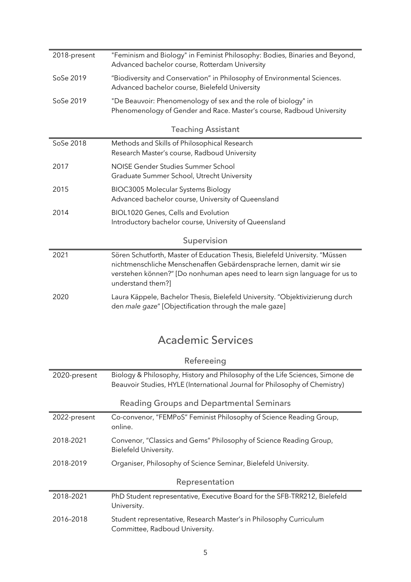| 2018-present | "Feminism and Biology" in Feminist Philosophy: Bodies, Binaries and Beyond,<br>Advanced bachelor course, Rotterdam University                                                                                                                          |  |
|--------------|--------------------------------------------------------------------------------------------------------------------------------------------------------------------------------------------------------------------------------------------------------|--|
| SoSe 2019    | "Biodiversity and Conservation" in Philosophy of Environmental Sciences.<br>Advanced bachelor course, Bielefeld University                                                                                                                             |  |
| SoSe 2019    | "De Beauvoir: Phenomenology of sex and the role of biology" in<br>Phenomenology of Gender and Race. Master's course, Radboud University                                                                                                                |  |
|              | <b>Teaching Assistant</b>                                                                                                                                                                                                                              |  |
| SoSe 2018    | Methods and Skills of Philosophical Research<br>Research Master's course, Radboud University                                                                                                                                                           |  |
| 2017         | NOISE Gender Studies Summer School<br>Graduate Summer School, Utrecht University                                                                                                                                                                       |  |
| 2015         | <b>BIOC3005 Molecular Systems Biology</b><br>Advanced bachelor course, University of Queensland                                                                                                                                                        |  |
| 2014         | BIOL1020 Genes, Cells and Evolution<br>Introductory bachelor course, University of Queensland                                                                                                                                                          |  |
| Supervision  |                                                                                                                                                                                                                                                        |  |
| 2021         | Sören Schutforth, Master of Education Thesis, Bielefeld University. "Müssen<br>nichtmenschliche Menschenaffen Gebärdensprache lernen, damit wir sie<br>verstehen können?" [Do nonhuman apes need to learn sign language for us to<br>understand them?] |  |
| 2020         | Laura Käppele, Bachelor Thesis, Bielefeld University. "Objektivizierung durch<br>den male gaze" [Objectification through the male gaze]                                                                                                                |  |

# Academic Services

| Refereeing     |                                                                                                                                                            |  |
|----------------|------------------------------------------------------------------------------------------------------------------------------------------------------------|--|
| 2020-present   | Biology & Philosophy, History and Philosophy of the Life Sciences, Simone de<br>Beauvoir Studies, HYLE (International Journal for Philosophy of Chemistry) |  |
|                | <b>Reading Groups and Departmental Seminars</b>                                                                                                            |  |
| 2022-present   | Co-convenor, "FEMPoS" Feminist Philosophy of Science Reading Group,<br>online.                                                                             |  |
| 2018-2021      | Convenor, "Classics and Gems" Philosophy of Science Reading Group,<br>Bielefeld University.                                                                |  |
| 2018-2019      | Organiser, Philosophy of Science Seminar, Bielefeld University.                                                                                            |  |
| Representation |                                                                                                                                                            |  |
| 2018-2021      | PhD Student representative, Executive Board for the SFB-TRR212, Bielefeld<br>University.                                                                   |  |
| 2016-2018      | Student representative, Research Master's in Philosophy Curriculum<br>Committee, Radboud University.                                                       |  |